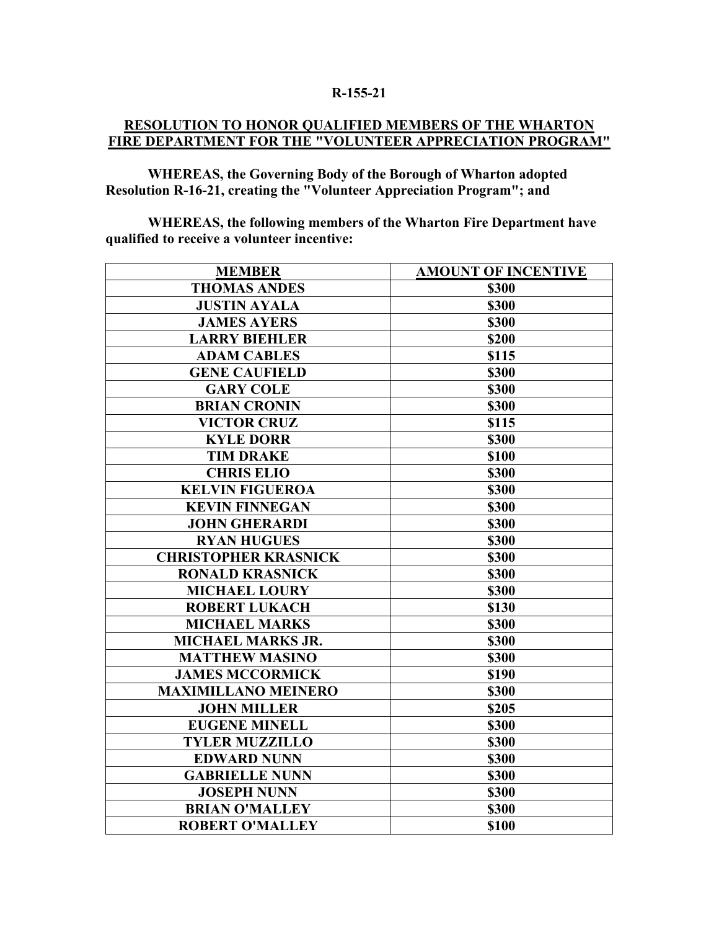## **R-155-21**

## **RESOLUTION TO HONOR QUALIFIED MEMBERS OF THE WHARTON FIRE DEPARTMENT FOR THE "VOLUNTEER APPRECIATION PROGRAM"**

**WHEREAS, the Governing Body of the Borough of Wharton adopted Resolution R-16-21, creating the "Volunteer Appreciation Program"; and**

**WHEREAS, the following members of the Wharton Fire Department have qualified to receive a volunteer incentive:**

| <b>MEMBER</b>               | <b>AMOUNT OF INCENTIVE</b> |
|-----------------------------|----------------------------|
| <b>THOMAS ANDES</b>         | <b>\$300</b>               |
| <b>JUSTIN AYALA</b>         | \$300                      |
| <b>JAMES AYERS</b>          | \$300                      |
| <b>LARRY BIEHLER</b>        | \$200                      |
| <b>ADAM CABLES</b>          | \$115                      |
| <b>GENE CAUFIELD</b>        | \$300                      |
| <b>GARY COLE</b>            | <b>\$300</b>               |
| <b>BRIAN CRONIN</b>         | \$300                      |
| <b>VICTOR CRUZ</b>          | \$115                      |
| <b>KYLE DORR</b>            | \$300                      |
| <b>TIM DRAKE</b>            | \$100                      |
| <b>CHRIS ELIO</b>           | <b>\$300</b>               |
| <b>KELVIN FIGUEROA</b>      | <b>\$300</b>               |
| <b>KEVIN FINNEGAN</b>       | \$300                      |
| <b>JOHN GHERARDI</b>        | \$300                      |
| <b>RYAN HUGUES</b>          | \$300                      |
| <b>CHRISTOPHER KRASNICK</b> | \$300                      |
| <b>RONALD KRASNICK</b>      | \$300                      |
| <b>MICHAEL LOURY</b>        | \$300                      |
| <b>ROBERT LUKACH</b>        | \$130                      |
| <b>MICHAEL MARKS</b>        | \$300                      |
| <b>MICHAEL MARKS JR.</b>    | <b>\$300</b>               |
| <b>MATTHEW MASINO</b>       | \$300                      |
| <b>JAMES MCCORMICK</b>      | \$190                      |
| <b>MAXIMILLANO MEINERO</b>  | \$300                      |
| <b>JOHN MILLER</b>          | \$205                      |
| <b>EUGENE MINELL</b>        | \$300                      |
| <b>TYLER MUZZILLO</b>       | \$300                      |
| <b>EDWARD NUNN</b>          | \$300                      |
| <b>GABRIELLE NUNN</b>       | \$300                      |
| <b>JOSEPH NUNN</b>          | \$300                      |
| <b>BRIAN O'MALLEY</b>       | \$300                      |
| <b>ROBERT O'MALLEY</b>      | \$100                      |